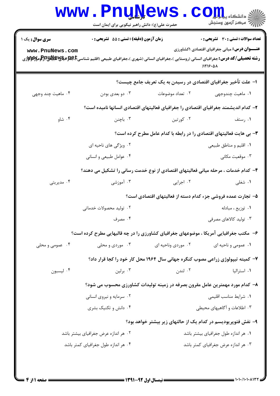|                                     | <b>www.PnuNews</b><br>حضرت علی(ع): دانش راهبر نیکویی برای ایمان است                   |                    | $\mathbf{CO}_{\mathrm{H}_{\mathrm{m}}}$ and $\leq$<br>رآ - مرڪز آزمون وسنڊش         |  |
|-------------------------------------|---------------------------------------------------------------------------------------|--------------------|-------------------------------------------------------------------------------------|--|
| <b>سری سوال :</b> یک ۱              | <b>زمان آزمون (دقیقه) : تستی : 55 تشریحی : 0</b>                                      |                    | تعداد سوالات : تستي : 30 ٪ تشريحي : 0                                               |  |
| www.PnuNews.com                     |                                                                                       |                    | <b>عنـــوان درس:</b> مبانی جغرافیای اقتصادی ۱کشاورزی<br>$11719 - 01$                |  |
|                                     |                                                                                       |                    | ا– علت تأخیر جغرافیای اقتصادی در رسیدن به یک تعریف جامع چیست؟                       |  |
| ۰۴ ماهيت چند وجهي                   | ۰۳ دو بعدي بودن                                                                       | ۰۲ تعداد موضوعات   | ۰۱ ماهيت چندوجهي                                                                    |  |
|                                     |                                                                                       |                    | ۲- کدام اندیشمند جغرافیای اقتصادی را جغرافیای فعالیتهای اقتصادی انسانها نامیده است؟ |  |
| ۰۴ شاو                              | ۰۳ باچنن                                                                              | ۰۲ کورتین          | ۰۱ رستف                                                                             |  |
|                                     | ۳- بی هایت فعالیتهای اقتصادی را در رابطه با کدام عامل مطرح کرده است؟                  |                    |                                                                                     |  |
|                                     | ۰۲ ویژگی های ناحیه ای                                                                 |                    | ۰۱ اقلیم و مناطق طبیعی                                                              |  |
|                                     | ۰۴ عوامل طبیعی و انسانی                                                               |                    | ۰۳ موقعیت مکانی                                                                     |  |
|                                     | ۴– کدام خدمات ، مرحله میانی فعالیتهای اقتصادی از نوع خدمت رسانی را تشکیل می دهند؟     |                    |                                                                                     |  |
| ۰۴ مدیریتی                          | ۰۳ آموزشی                                                                             | ۰۲ اجرایی          | ۰۱ شغلی                                                                             |  |
|                                     | ۵– تجارت عمده فروشی جزء کدام دسته از فعالیتهای اقتصادی است؟                           |                    |                                                                                     |  |
|                                     | ۰۲ تولید محصولات خدماتی                                                               |                    | ۰۱ توزیع ، مبادله                                                                   |  |
|                                     | ۴. مصرف                                                                               |                    | ۰۳ تولید کالاهای مصرفی                                                              |  |
|                                     | ۶- مکتب جغرافیایی آمریکا ، موضوعهای جغرافیای کشاورزی را در چه قالبهایی مطرح کرده است؟ |                    |                                                                                     |  |
| ۰۴ عمومی و محلی                     | ۰۳ موردی و محلی                                                                       | ۰۲ موردی وناحیه ای | ۰۱ عمومي و ناحيه اي                                                                 |  |
|                                     |                                                                                       |                    | ۷- کمیته تیپولوژی زراعی مصوب کنگره جهانی سال ۱۹۶۴ محل کار خود را کجا قرار داد؟      |  |
| ۰۴ ليسبون                           | ۰۳ برلین                                                                              | ۰۲ لندن            | ۰۱ استرالیا                                                                         |  |
|                                     |                                                                                       |                    | ۸– کدام مورد مهمترین عامل مقرون بصرفه در زمینه تولیدات کشاورزی محسوب می شود؟        |  |
|                                     | ۰۲ سرمایه و نیروی انسانی                                                              |                    | ۰۱ شرایط مناسب اقلیمی                                                               |  |
|                                     | ۰۴ دانش و تکنیک بشری                                                                  |                    | ۰۳ اطلاعات و آگاهیهای محیطی                                                         |  |
|                                     |                                                                                       |                    | ۹- نفش فتوپریودیسم در کدام یک از حالتهای زیر بیشتر خواهد بود؟                       |  |
|                                     | ۰۲ هر اندازه عرض جغرافیای بیشتر باشد                                                  |                    | ۰۱ هر اندازه طول جغرافیای بیشتر باشد                                                |  |
| ۰۴ هر اندازه طول جغرافیای کمتر باشد |                                                                                       |                    | ۰۳ هر اندازه عرض جغرافیای کمتر باشد                                                 |  |
|                                     |                                                                                       |                    |                                                                                     |  |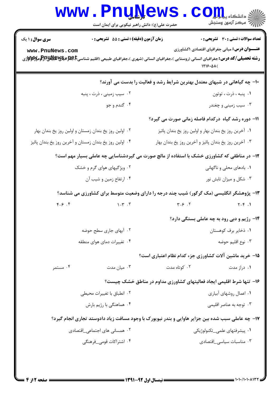|                                                         | <b>www.Pnunews</b><br>حضرت علی(ع): دانش راهبر نیکویی برای ایمان است                                                                                                                                                                   |                                                       | الله دانشکاه پیابانی<br>ایران اسکنر آزمون وسنجش                           |  |
|---------------------------------------------------------|---------------------------------------------------------------------------------------------------------------------------------------------------------------------------------------------------------------------------------------|-------------------------------------------------------|---------------------------------------------------------------------------|--|
| <b>سری سوال : ۱ یک</b>                                  | زمان آزمون (دقیقه) : تستی : 55 آتشریحی : 0                                                                                                                                                                                            |                                                       | <b>تعداد سوالات : تستی : 30 ٪ تشریحی : 0</b>                              |  |
| www.PnuNews.com                                         | <b>رشته تحصیلی/کد درس:</b> جغرافیای انسانی (روستایی )،جغرافیای انسانی (شهری )،جغرافیای طبیعی (اقلیم شناسیCبهای او پای استان بایجهان استان موسی با بایجهان استان بایجهان استان بایجهان استانی با<br>در این موسیقی استان استان استانی ا |                                                       | <b>عنـــوان درس:</b> مبانی جغرافیای اقتصادی ۱کشاورزی<br>1719.01           |  |
|                                                         |                                                                                                                                                                                                                                       |                                                       | ۱۰- چه گیاهانی در شبهای معتدل بهترین شرایط رشد و فعالیت را بدست می آورند؟ |  |
|                                                         | ۰۲ سیب زمینی ، ذرت ، پنبه                                                                                                                                                                                                             |                                                       | ٠١. پنبه ، ذرت ، توتون                                                    |  |
|                                                         | ۰۴ گندم و جو                                                                                                                                                                                                                          |                                                       | ۰۳ سیب زمینی و چغندر                                                      |  |
|                                                         |                                                                                                                                                                                                                                       |                                                       | <b>۱۱- دوره رشد گیاه درکدام فاصله زمانی صورت می گیرد؟</b>                 |  |
|                                                         | ۰۲ اولین روز یخ بندان زمستان و اولین روز یخ بندان بهار                                                                                                                                                                                | ۰۱ آخرین روز یخ بندان بهار و اولین روز یخ بندان پائیز |                                                                           |  |
| ۰۴ اولین روز یخ بندان زمستان و آخرین روز یخ بندان پائیز |                                                                                                                                                                                                                                       | ۰۳ آخرین روز یخ بندان پائیز و آخرین روز یخ بندان بهار |                                                                           |  |
|                                                         | ۱۲- در مناطقی که کشاورزی خشک با استفاده از مالچ صورت می گیردشناسایی چه عاملی بسیار مهم است؟                                                                                                                                           |                                                       |                                                                           |  |
|                                                         | ۲. ویژگیهای هوای گرم و خشک                                                                                                                                                                                                            |                                                       | ۰۱ بادهای محلی و ناگهانی                                                  |  |
|                                                         | ۰۴ ارتفاع زمین و شیب آن                                                                                                                                                                                                               |                                                       | ۰۳ شکل و میزان تابش نور                                                   |  |
|                                                         | ۱۳- پژوهشگر انگلیسی (مک گرگور) شیب چند درجه را دارای وضعیت متوسط برای کشاورزی می شناسد؟                                                                                                                                               |                                                       |                                                                           |  |
| $Y - 5$                                                 | $\gamma - \gamma$ . $\gamma$                                                                                                                                                                                                          | $Y - 5$ .                                             | $Y - Y$ .                                                                 |  |
|                                                         |                                                                                                                                                                                                                                       |                                                       | ۱۴- رژیم و دبی رود به چه عاملی بستگی دارد؟                                |  |
|                                                         | ۰۲ آبهای جاری سطح حوضه                                                                                                                                                                                                                |                                                       | ۰۱ ذخایر برف کوهستان                                                      |  |
|                                                         | ۰۴ تغییرات دمای هوای منطقه                                                                                                                                                                                                            |                                                       | ۰۳ نوع اقليم حوضه                                                         |  |
|                                                         |                                                                                                                                                                                                                                       |                                                       | ۱۵– خرید ماشین آلات کشاورزی جزء کدام نظام اعتباری است؟                    |  |
| ۰۴ مستمر                                                | ۰۳ میان مدت                                                                                                                                                                                                                           | ۰۲ کوتاه مدت                                          | ۰۱ دراز مدت                                                               |  |
|                                                         |                                                                                                                                                                                                                                       |                                                       | ۱۶- تنها شرط اقلیمی ایجاد فعالیتهای کشاورزی مداوم در مناطق خشک چیست؟      |  |
|                                                         | ۰۲ انطباق با تغییرات محیطی                                                                                                                                                                                                            |                                                       | ۰۱ اعمال روشهای آبیاری                                                    |  |
|                                                         | ۰۴ هماهنگی با رژیم بارش                                                                                                                                                                                                               |                                                       | ۰۳ توجه به عناصر اقلیمی                                                   |  |
|                                                         | ۱۷- چه عاملی سبب شده بین جزایر هاوایی و بندر نیویورک با وجود مسافت زیاد دادوستد تجاری انجام گیرد؟                                                                                                                                     |                                                       |                                                                           |  |
|                                                         | ۰۲ همسانی های اجتما <i>ع</i> ی_اقتصادی                                                                                                                                                                                                |                                                       | ۰۱ پیشرفتهای علمی_تکنولوژیکی                                              |  |
| ۰۴ اشتراکات قوم <u>ی ف</u> رهنگی                        |                                                                                                                                                                                                                                       | ۰۳ مناسبات سیاسی_اقتصادی                              |                                                                           |  |
|                                                         |                                                                                                                                                                                                                                       |                                                       |                                                                           |  |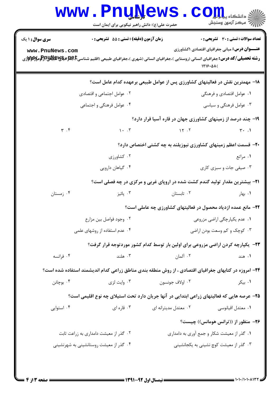|                             | WWW.Pnunews.com<br>حضرت علی(ع): دانش راهبر نیکویی برای ایمان است |                                                                                                                |                                                                                                                                                                                                |
|-----------------------------|------------------------------------------------------------------|----------------------------------------------------------------------------------------------------------------|------------------------------------------------------------------------------------------------------------------------------------------------------------------------------------------------|
| <b>سری سوال :</b> ۱ یک      | <b>زمان آزمون (دقیقه) : تستی : 55 تشریحی : 0</b>                 |                                                                                                                | تعداد سوالات : تستى : 30 - تشريحي : 0                                                                                                                                                          |
| www.PnuNews.com             |                                                                  |                                                                                                                | <b>عنـــوان درس:</b> مبانی جغرافیای اقتصادی ۱کشاورزی<br><b>رشته تحصیلی/کد درس:</b> جغرافیای انسانی (روستایی )،جغرافیای انسانی (شهری )،جغرافیای طبیعی (اقلیم شناسیE،B،B،B،B،B ایلایا<br>1719.01 |
|                             |                                                                  |                                                                                                                | ۱۸– مهمترین نقش در فعالیتهای کشاورزی پس از عوامل طبیعی برعهده کدام عامل است؟                                                                                                                   |
|                             | ۰۲ عوامل اجتماعی و اقتصادی                                       |                                                                                                                | ۰۱ عوامل اقتصادی و فرهنگی                                                                                                                                                                      |
|                             | ۰۴ عوامل فرهنگی و اجتماعی                                        | ۰۳ عوامل فرهنگی و سیاسی                                                                                        |                                                                                                                                                                                                |
|                             |                                                                  |                                                                                                                | ۱۹- چند درصد از زمینهای کشاورزی جهان در قاره آسیا قرار دارد؟                                                                                                                                   |
| $\mathbf{r}$ . $\mathbf{r}$ | $\mathcal{N}$ . T                                                |                                                                                                                | $\gamma$ $\gamma$ . T                                                                                                                                                                          |
|                             |                                                                  |                                                                                                                | ۲۰– قسمت اعظم زمینهای کشاورزی نیوزیلند به چه کشتی اختصاص دارد؟                                                                                                                                 |
|                             | ۰۲ کشاورزی                                                       |                                                                                                                | ۰۱ مراتع                                                                                                                                                                                       |
|                             | ۰۴ گیاهان دارویی                                                 |                                                                                                                | ۰۳ صیفی جات و سبزی کاری                                                                                                                                                                        |
|                             |                                                                  |                                                                                                                | <b>۲۱</b> - بیشترین مقدار تولید گندم کشت شده در اروپای غربی و مرکزی در چه فصلی است؟                                                                                                            |
| ۰۴ زمستان                   |                                                                  | ۰۲ تابستان میشود. تابستان باشیز به تابستان به تابستان به تابستان به کارول میشود. تابستان به تابستان به تابستان | ۰۱ بهار                                                                                                                                                                                        |
|                             |                                                                  |                                                                                                                | <b>۲۲</b> - مانع عمده ازدیاد محصول در فعالیتهای کشاورزی چه عاملی است؟                                                                                                                          |
|                             | ۰۲ وجود فواصل بين مزارع                                          | ۰۱ عدم یکپارچگی اراضی مزروعی                                                                                   |                                                                                                                                                                                                |
|                             | ۰۴ عدم استفاده از روشهای علمی                                    | ۰۳ کوچک و کم وسعت بودن اراضی                                                                                   |                                                                                                                                                                                                |
|                             |                                                                  |                                                                                                                | <b>۲۳</b> - یکپارچه کردن اراضی مزروعی برای اولین بار توسط کدام کشور موردتوجه قرار گرفت؟                                                                                                        |
| ۰۴ فرانسه                   | ۰۳ هلند                                                          | ۰۲ آلمان                                                                                                       | ۰۱ هند                                                                                                                                                                                         |
|                             |                                                                  |                                                                                                                | <b>۲۴</b> - امروزه در کتابهای جغرافیای اقتصادی ، از روش منطقه بندی مناطق زراعی کدام اندیشمند استفاده شده است؟                                                                                  |
| ۰۴ بوچانن                   | ۰۳ وايت لزي                                                      | ۰۲ اولاف جونسون                                                                                                | ۰۱ بیکر                                                                                                                                                                                        |
|                             |                                                                  |                                                                                                                | ۲۵– عرصه هایی که فعالیتهای زراعی ابتدایی در آنها جریان دارد تحت استیلای چه نوع اقلیمی است؟                                                                                                     |
| ۰۴ استوایی                  | ۰۳ قاره ای                                                       | ۰۲ معتدل مدیترانه ای                                                                                           | ٠١ معتدل اقيانوسي                                                                                                                                                                              |
|                             |                                                                  |                                                                                                                | ۲۶- منظور از ((ترانس هومانس)) چیست؟                                                                                                                                                            |
|                             | ۰۲ گذر از معیشت دامداری به زراعت ثابت                            |                                                                                                                | ۰۱ گذر از معیشت شکار و جمع آوری به دامداری                                                                                                                                                     |
|                             | ۰۴ گذر از معیشت روستانشینی به شهرنشینی                           |                                                                                                                | ۰۳ گذر از معیشت کوچ نشینی به یکجانشینی                                                                                                                                                         |
|                             |                                                                  |                                                                                                                |                                                                                                                                                                                                |